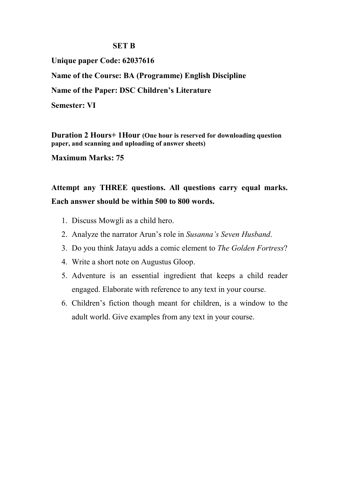## **SET B**

**Unique paper Code: 62037616 Name of the Course: BA (Programme) English Discipline Name of the Paper: DSC Children's Literature Semester: VI**

**Duration 2 Hours+ 1Hour (One hour is reserved for downloading question paper, and scanning and uploading of answer sheets)**

**Maximum Marks: 75**

**Attempt any THREE questions. All questions carry equal marks. Each answer should be within 500 to 800 words.**

- 1. Discuss Mowgli as a child hero.
- 2. Analyze the narrator Arun's role in *Susanna's Seven Husband*.
- 3. Do you think Jatayu adds a comic element to *The Golden Fortress*?
- 4. Write a short note on Augustus Gloop.
- 5. Adventure is an essential ingredient that keeps a child reader engaged. Elaborate with reference to any text in your course.
- 6. Children's fiction though meant for children, is a window to the adult world. Give examples from any text in your course.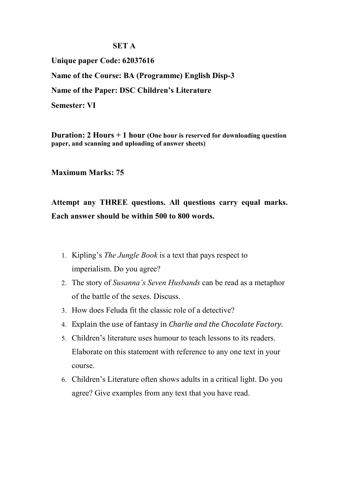## **SET A**

**Unique paper Code: 62037616 Name of the Course: BA (Programme) English Disp-3 Name of the Paper: DSC Children's Literature Semester: VI**

**Duration: 2 Hours + 1 hour (One hour is reserved for downloading question paper, and scanning and uploading of answer sheets)**

**Maximum Marks: 75**

**Attempt any THREE questions. All questions carry equal marks. Each answer should be within 500 to 800 words.**

- 1. Kipling's *The Jungle Book* is a text that pays respect to imperialism. Do you agree?
- 2. The story of *Susanna's Seven Husbands* can be read as a metaphor of the battle of the sexes. Discuss.
- 3. How does Feluda fit the classic role of a detective?
- 4. Explain the use of fantasy in *Charlie and the Chocolate Factory*.
- 5. Children's literature uses humour to teach lessons to its readers. Elaborate on this statement with reference to any one text in your course.
- 6. Children's Literature often shows adults in a critical light. Do you agree? Give examples from any text that you have read.